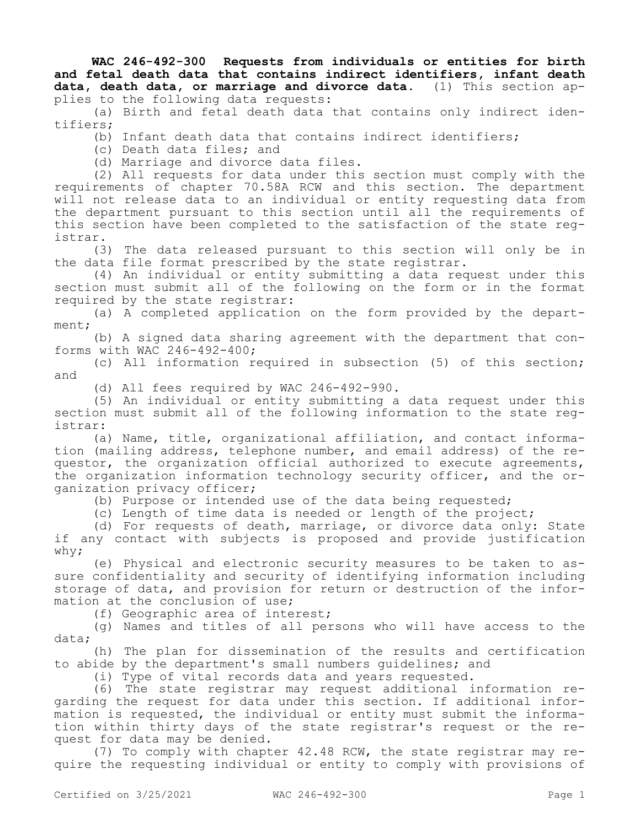**WAC 246-492-300 Requests from individuals or entities for birth and fetal death data that contains indirect identifiers, infant death**  data, death data, or marriage and divorce data. plies to the following data requests:

(a) Birth and fetal death data that contains only indirect identifiers;

(b) Infant death data that contains indirect identifiers;

(c) Death data files; and

(d) Marriage and divorce data files.

(2) All requests for data under this section must comply with the requirements of chapter 70.58A RCW and this section. The department will not release data to an individual or entity requesting data from the department pursuant to this section until all the requirements of this section have been completed to the satisfaction of the state registrar.

(3) The data released pursuant to this section will only be in the data file format prescribed by the state registrar.

(4) An individual or entity submitting a data request under this section must submit all of the following on the form or in the format required by the state registrar:

(a) A completed application on the form provided by the department;

(b) A signed data sharing agreement with the department that conforms with WAC 246-492-400;

(c) All information required in subsection (5) of this section; and

(d) All fees required by WAC 246-492-990.

(5) An individual or entity submitting a data request under this section must submit all of the following information to the state registrar:

(a) Name, title, organizational affiliation, and contact information (mailing address, telephone number, and email address) of the requestor, the organization official authorized to execute agreements, the organization information technology security officer, and the organization privacy officer;

(b) Purpose or intended use of the data being requested;

(c) Length of time data is needed or length of the project;

(d) For requests of death, marriage, or divorce data only: State if any contact with subjects is proposed and provide justification why;

(e) Physical and electronic security measures to be taken to assure confidentiality and security of identifying information including storage of data, and provision for return or destruction of the information at the conclusion of use;

(f) Geographic area of interest;

(g) Names and titles of all persons who will have access to the data;

(h) The plan for dissemination of the results and certification to abide by the department's small numbers guidelines; and

(i) Type of vital records data and years requested.

(6) The state registrar may request additional information regarding the request for data under this section. If additional information is requested, the individual or entity must submit the information within thirty days of the state registrar's request or the request for data may be denied.

(7) To comply with chapter 42.48 RCW, the state registrar may require the requesting individual or entity to comply with provisions of